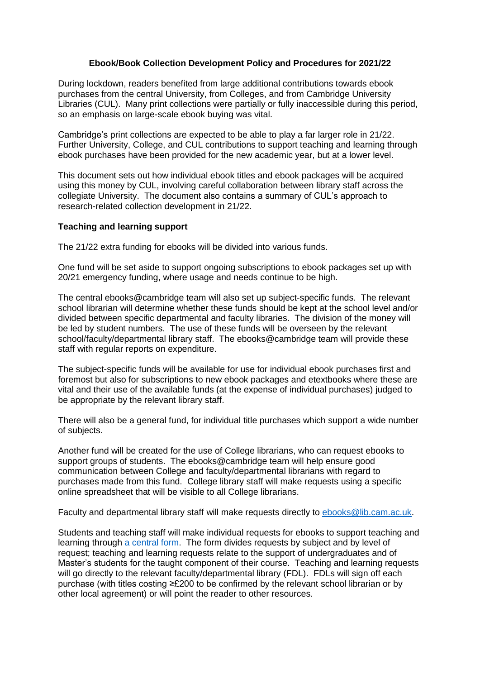## **Ebook/Book Collection Development Policy and Procedures for 2021/22**

During lockdown, readers benefited from large additional contributions towards ebook purchases from the central University, from Colleges, and from Cambridge University Libraries (CUL). Many print collections were partially or fully inaccessible during this period, so an emphasis on large-scale ebook buying was vital.

Cambridge's print collections are expected to be able to play a far larger role in 21/22. Further University, College, and CUL contributions to support teaching and learning through ebook purchases have been provided for the new academic year, but at a lower level.

This document sets out how individual ebook titles and ebook packages will be acquired using this money by CUL, involving careful collaboration between library staff across the collegiate University. The document also contains a summary of CUL's approach to research-related collection development in 21/22.

## **Teaching and learning support**

The 21/22 extra funding for ebooks will be divided into various funds.

One fund will be set aside to support ongoing subscriptions to ebook packages set up with 20/21 emergency funding, where usage and needs continue to be high.

The central ebooks@cambridge team will also set up subject-specific funds. The relevant school librarian will determine whether these funds should be kept at the school level and/or divided between specific departmental and faculty libraries. The division of the money will be led by student numbers. The use of these funds will be overseen by the relevant school/faculty/departmental library staff. The ebooks@cambridge team will provide these staff with regular reports on expenditure.

The subject-specific funds will be available for use for individual ebook purchases first and foremost but also for subscriptions to new ebook packages and etextbooks where these are vital and their use of the available funds (at the expense of individual purchases) judged to be appropriate by the relevant library staff.

There will also be a general fund, for individual title purchases which support a wide number of subjects.

Another fund will be created for the use of College librarians, who can request ebooks to support groups of students. The ebooks@cambridge team will help ensure good communication between College and faculty/departmental librarians with regard to purchases made from this fund. College library staff will make requests using a specific online spreadsheet that will be visible to all College librarians.

Faculty and departmental library staff will make requests directly to [ebooks@lib.cam.ac.uk.](mailto:ebooks@lib.cam.ac.uk)

Students and teaching staff will make individual requests for ebooks to support teaching and learning through [a central form.](https://cambridge.eu.qualtrics.com/jfe/form/SV_d7uilfJ6DmGHW73) The form divides requests by subject and by level of request; teaching and learning requests relate to the support of undergraduates and of Master's students for the taught component of their course. Teaching and learning requests will go directly to the relevant faculty/departmental library (FDL). FDLs will sign off each purchase (with titles costing ≥£200 to be confirmed by the relevant school librarian or by other local agreement) or will point the reader to other resources.